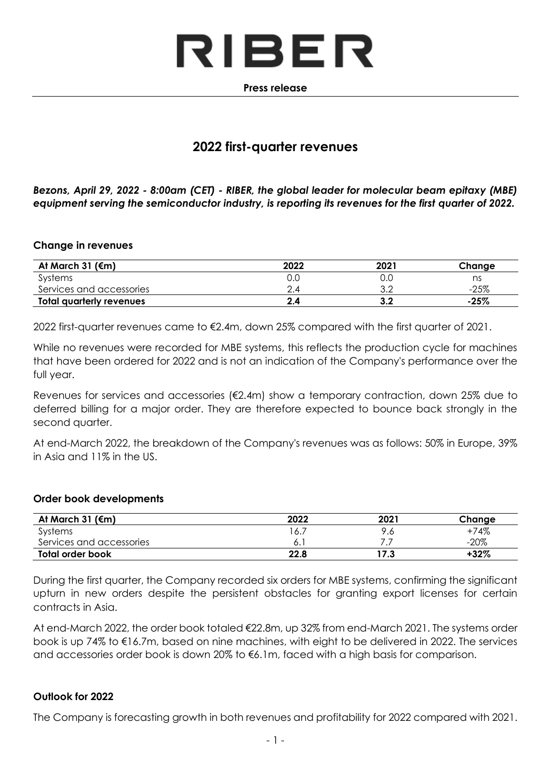

#### **Press release**

# **2022 first-quarter revenues**

*Bezons, April 29, 2022 - 8:00am (CET) - RIBER, the global leader for molecular beam epitaxy (MBE) equipment serving the semiconductor industry, is reporting its revenues for the first quarter of 2022.*

#### **Change in revenues**

| At March 31 ( $\epsilon$ m)     | 2022 | 2021       | Change |
|---------------------------------|------|------------|--------|
| Systems                         | O.C  | 0.C        | ns     |
| Services and accessories        |      | າ ດ<br>J.∠ | $-25%$ |
| <b>Total quarterly revenues</b> | 2.4  | 3.2        | $-25%$ |

2022 first-quarter revenues came to €2.4m, down 25% compared with the first quarter of 2021.

While no revenues were recorded for MBE systems, this reflects the production cycle for machines that have been ordered for 2022 and is not an indication of the Company's performance over the full year.

Revenues for services and accessories (€2.4m) show a temporary contraction, down 25% due to deferred billing for a major order. They are therefore expected to bounce back strongly in the second quarter.

At end-March 2022, the breakdown of the Company's revenues was as follows: 50% in Europe, 39% in Asia and 11% in the US.

#### **Order book developments**

| At March 31 ( $\epsilon$ m) | 2022 | 2021 | Change  |
|-----------------------------|------|------|---------|
| Systems                     | 16.7 | Q.   | +74%    |
| Services and accessories    | 0. I |      | $-20\%$ |
| Total order book            | 22.8 | 17.3 | $+32\%$ |

During the first quarter, the Company recorded six orders for MBE systems, confirming the significant upturn in new orders despite the persistent obstacles for granting export licenses for certain contracts in Asia.

At end-March 2022, the order book totaled €22.8m, up 32% from end-March 2021. The systems order book is up 74% to €16.7m, based on nine machines, with eight to be delivered in 2022. The services and accessories order book is down 20% to €6.1m, faced with a high basis for comparison.

### **Outlook for 2022**

The Company is forecasting growth in both revenues and profitability for 2022 compared with 2021.